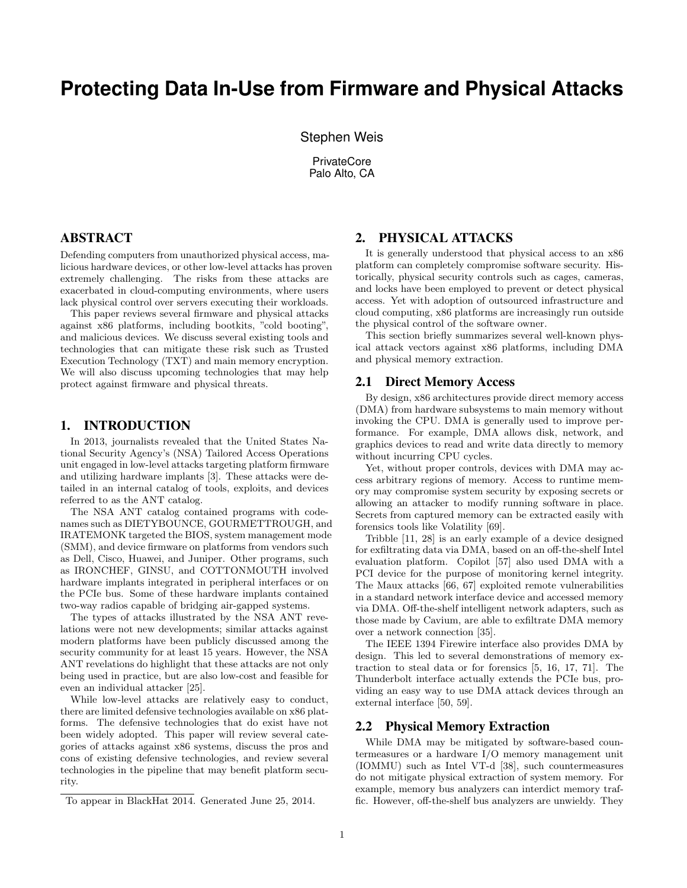# **Protecting Data In-Use from Firmware and Physical Attacks**

Stephen Weis

**PrivateCore** Palo Alto, CA

## ABSTRACT

Defending computers from unauthorized physical access, malicious hardware devices, or other low-level attacks has proven extremely challenging. The risks from these attacks are exacerbated in cloud-computing environments, where users lack physical control over servers executing their workloads.

This paper reviews several firmware and physical attacks against x86 platforms, including bootkits, "cold booting", and malicious devices. We discuss several existing tools and technologies that can mitigate these risk such as Trusted Execution Technology (TXT) and main memory encryption. We will also discuss upcoming technologies that may help protect against firmware and physical threats.

#### 1. INTRODUCTION

In 2013, journalists revealed that the United States National Security Agency's (NSA) Tailored Access Operations unit engaged in low-level attacks targeting platform firmware and utilizing hardware implants [3]. These attacks were detailed in an internal catalog of tools, exploits, and devices referred to as the ANT catalog.

The NSA ANT catalog contained programs with codenames such as DIETYBOUNCE, GOURMETTROUGH, and IRATEMONK targeted the BIOS, system management mode (SMM), and device firmware on platforms from vendors such as Dell, Cisco, Huawei, and Juniper. Other programs, such as IRONCHEF, GINSU, and COTTONMOUTH involved hardware implants integrated in peripheral interfaces or on the PCIe bus. Some of these hardware implants contained two-way radios capable of bridging air-gapped systems.

The types of attacks illustrated by the NSA ANT revelations were not new developments; similar attacks against modern platforms have been publicly discussed among the security community for at least 15 years. However, the NSA ANT revelations do highlight that these attacks are not only being used in practice, but are also low-cost and feasible for even an individual attacker [25].

While low-level attacks are relatively easy to conduct, there are limited defensive technologies available on x86 platforms. The defensive technologies that do exist have not been widely adopted. This paper will review several categories of attacks against x86 systems, discuss the pros and cons of existing defensive technologies, and review several technologies in the pipeline that may benefit platform security.

## 2. PHYSICAL ATTACKS

It is generally understood that physical access to an x86 platform can completely compromise software security. Historically, physical security controls such as cages, cameras, and locks have been employed to prevent or detect physical access. Yet with adoption of outsourced infrastructure and cloud computing, x86 platforms are increasingly run outside the physical control of the software owner.

This section briefly summarizes several well-known physical attack vectors against x86 platforms, including DMA and physical memory extraction.

#### 2.1 Direct Memory Access

By design, x86 architectures provide direct memory access (DMA) from hardware subsystems to main memory without invoking the CPU. DMA is generally used to improve performance. For example, DMA allows disk, network, and graphics devices to read and write data directly to memory without incurring CPU cycles.

Yet, without proper controls, devices with DMA may access arbitrary regions of memory. Access to runtime memory may compromise system security by exposing secrets or allowing an attacker to modify running software in place. Secrets from captured memory can be extracted easily with forensics tools like Volatility [69].

Tribble [11, 28] is an early example of a device designed for exfiltrating data via DMA, based on an off-the-shelf Intel evaluation platform. Copilot [57] also used DMA with a PCI device for the purpose of monitoring kernel integrity. The Maux attacks [66, 67] exploited remote vulnerabilities in a standard network interface device and accessed memory via DMA. Off-the-shelf intelligent network adapters, such as those made by Cavium, are able to exfiltrate DMA memory over a network connection [35].

The IEEE 1394 Firewire interface also provides DMA by design. This led to several demonstrations of memory extraction to steal data or for forensics [5, 16, 17, 71]. The Thunderbolt interface actually extends the PCIe bus, providing an easy way to use DMA attack devices through an external interface [50, 59].

#### 2.2 Physical Memory Extraction

While DMA may be mitigated by software-based countermeasures or a hardware I/O memory management unit (IOMMU) such as Intel VT-d [38], such countermeasures do not mitigate physical extraction of system memory. For example, memory bus analyzers can interdict memory traffic. However, off-the-shelf bus analyzers are unwieldy. They

To appear in BlackHat 2014. Generated June 25, 2014.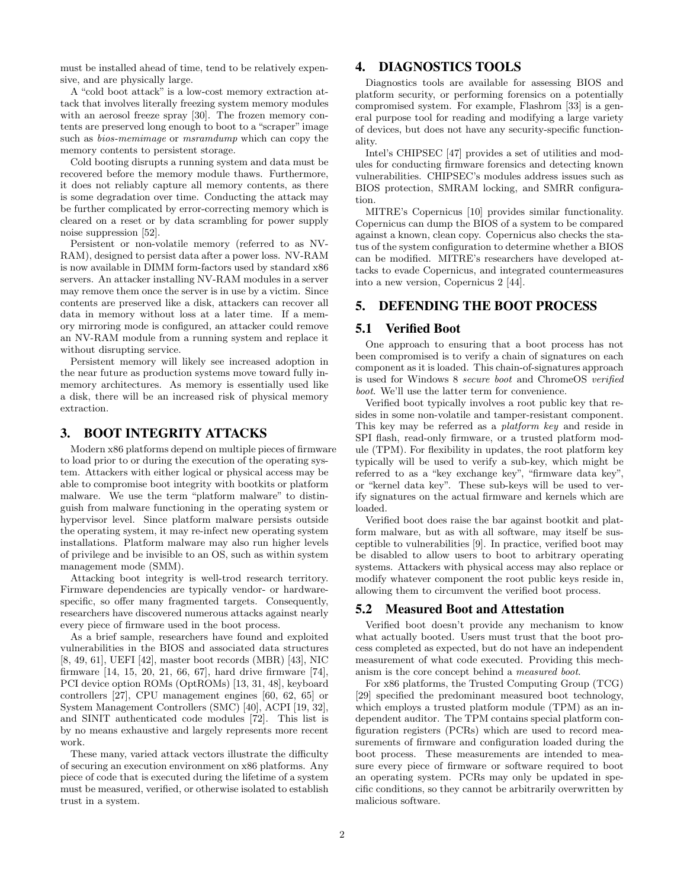must be installed ahead of time, tend to be relatively expensive, and are physically large.

A "cold boot attack" is a low-cost memory extraction attack that involves literally freezing system memory modules with an aerosol freeze spray [30]. The frozen memory contents are preserved long enough to boot to a "scraper" image such as *bios-memimage* or *msramdump* which can copy the memory contents to persistent storage.

Cold booting disrupts a running system and data must be recovered before the memory module thaws. Furthermore, it does not reliably capture all memory contents, as there is some degradation over time. Conducting the attack may be further complicated by error-correcting memory which is cleared on a reset or by data scrambling for power supply noise suppression [52].

Persistent or non-volatile memory (referred to as NV-RAM), designed to persist data after a power loss. NV-RAM is now available in DIMM form-factors used by standard x86 servers. An attacker installing NV-RAM modules in a server may remove them once the server is in use by a victim. Since contents are preserved like a disk, attackers can recover all data in memory without loss at a later time. If a memory mirroring mode is configured, an attacker could remove an NV-RAM module from a running system and replace it without disrupting service.

Persistent memory will likely see increased adoption in the near future as production systems move toward fully inmemory architectures. As memory is essentially used like a disk, there will be an increased risk of physical memory extraction.

#### 3. BOOT INTEGRITY ATTACKS

Modern x86 platforms depend on multiple pieces of firmware to load prior to or during the execution of the operating system. Attackers with either logical or physical access may be able to compromise boot integrity with bootkits or platform malware. We use the term "platform malware" to distinguish from malware functioning in the operating system or hypervisor level. Since platform malware persists outside the operating system, it may re-infect new operating system installations. Platform malware may also run higher levels of privilege and be invisible to an OS, such as within system management mode (SMM).

Attacking boot integrity is well-trod research territory. Firmware dependencies are typically vendor- or hardwarespecific, so offer many fragmented targets. Consequently, researchers have discovered numerous attacks against nearly every piece of firmware used in the boot process.

As a brief sample, researchers have found and exploited vulnerabilities in the BIOS and associated data structures [8, 49, 61], UEFI [42], master boot records (MBR) [43], NIC firmware [14, 15, 20, 21, 66, 67], hard drive firmware [74], PCI device option ROMs (OptROMs) [13, 31, 48], keyboard controllers [27], CPU management engines [60, 62, 65] or System Management Controllers (SMC) [40], ACPI [19, 32], and SINIT authenticated code modules [72]. This list is by no means exhaustive and largely represents more recent work.

These many, varied attack vectors illustrate the difficulty of securing an execution environment on x86 platforms. Any piece of code that is executed during the lifetime of a system must be measured, verified, or otherwise isolated to establish trust in a system.

# 4. DIAGNOSTICS TOOLS

Diagnostics tools are available for assessing BIOS and platform security, or performing forensics on a potentially compromised system. For example, Flashrom [33] is a general purpose tool for reading and modifying a large variety of devices, but does not have any security-specific functionality.

Intel's CHIPSEC [47] provides a set of utilities and modules for conducting firmware forensics and detecting known vulnerabilities. CHIPSEC's modules address issues such as BIOS protection, SMRAM locking, and SMRR configuration.

MITRE's Copernicus [10] provides similar functionality. Copernicus can dump the BIOS of a system to be compared against a known, clean copy. Copernicus also checks the status of the system configuration to determine whether a BIOS can be modified. MITRE's researchers have developed attacks to evade Copernicus, and integrated countermeasures into a new version, Copernicus 2 [44].

#### 5. DEFENDING THE BOOT PROCESS

#### 5.1 Verified Boot

One approach to ensuring that a boot process has not been compromised is to verify a chain of signatures on each component as it is loaded. This chain-of-signatures approach is used for Windows 8 secure boot and ChromeOS verified boot. We'll use the latter term for convenience.

Verified boot typically involves a root public key that resides in some non-volatile and tamper-resistant component. This key may be referred as a platform key and reside in SPI flash, read-only firmware, or a trusted platform module (TPM). For flexibility in updates, the root platform key typically will be used to verify a sub-key, which might be referred to as a "key exchange key", "firmware data key", or "kernel data key". These sub-keys will be used to verify signatures on the actual firmware and kernels which are loaded.

Verified boot does raise the bar against bootkit and platform malware, but as with all software, may itself be susceptible to vulnerabilities [9]. In practice, verified boot may be disabled to allow users to boot to arbitrary operating systems. Attackers with physical access may also replace or modify whatever component the root public keys reside in, allowing them to circumvent the verified boot process.

#### 5.2 Measured Boot and Attestation

Verified boot doesn't provide any mechanism to know what actually booted. Users must trust that the boot process completed as expected, but do not have an independent measurement of what code executed. Providing this mechanism is the core concept behind a measured boot.

For x86 platforms, the Trusted Computing Group (TCG) [29] specified the predominant measured boot technology, which employs a trusted platform module (TPM) as an independent auditor. The TPM contains special platform configuration registers (PCRs) which are used to record measurements of firmware and configuration loaded during the boot process. These measurements are intended to measure every piece of firmware or software required to boot an operating system. PCRs may only be updated in specific conditions, so they cannot be arbitrarily overwritten by malicious software.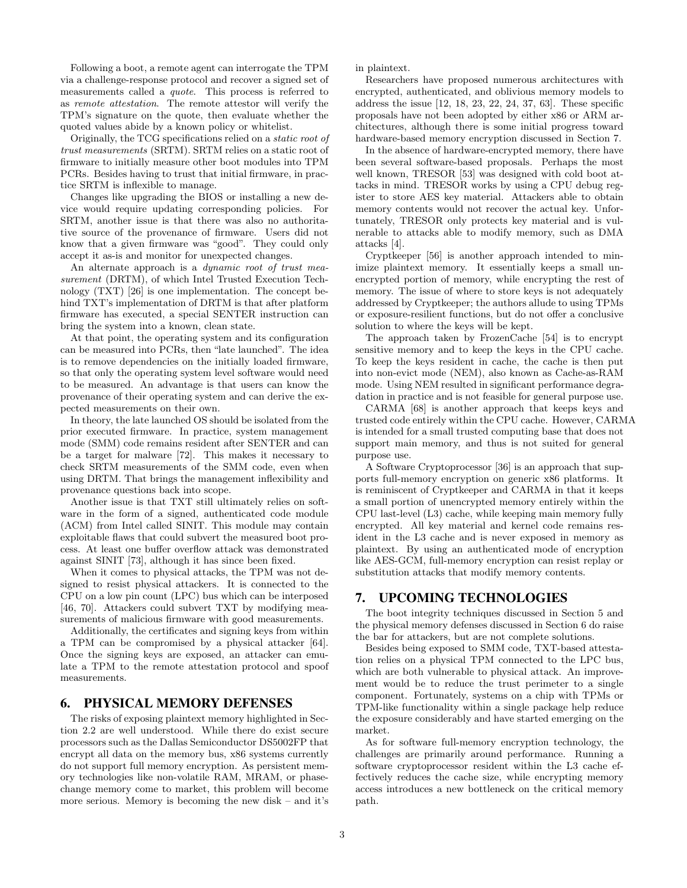Following a boot, a remote agent can interrogate the TPM via a challenge-response protocol and recover a signed set of measurements called a quote. This process is referred to as remote attestation. The remote attestor will verify the TPM's signature on the quote, then evaluate whether the quoted values abide by a known policy or whitelist.

Originally, the TCG specifications relied on a static root of trust measurements (SRTM). SRTM relies on a static root of firmware to initially measure other boot modules into TPM PCRs. Besides having to trust that initial firmware, in practice SRTM is inflexible to manage.

Changes like upgrading the BIOS or installing a new device would require updating corresponding policies. For SRTM, another issue is that there was also no authoritative source of the provenance of firmware. Users did not know that a given firmware was "good". They could only accept it as-is and monitor for unexpected changes.

An alternate approach is a *dynamic root of trust mea*surement (DRTM), of which Intel Trusted Execution Technology (TXT) [26] is one implementation. The concept behind TXT's implementation of DRTM is that after platform firmware has executed, a special SENTER instruction can bring the system into a known, clean state.

At that point, the operating system and its configuration can be measured into PCRs, then "late launched". The idea is to remove dependencies on the initially loaded firmware, so that only the operating system level software would need to be measured. An advantage is that users can know the provenance of their operating system and can derive the expected measurements on their own.

In theory, the late launched OS should be isolated from the prior executed firmware. In practice, system management mode (SMM) code remains resident after SENTER and can be a target for malware [72]. This makes it necessary to check SRTM measurements of the SMM code, even when using DRTM. That brings the management inflexibility and provenance questions back into scope.

Another issue is that TXT still ultimately relies on software in the form of a signed, authenticated code module (ACM) from Intel called SINIT. This module may contain exploitable flaws that could subvert the measured boot process. At least one buffer overflow attack was demonstrated against SINIT [73], although it has since been fixed.

When it comes to physical attacks, the TPM was not designed to resist physical attackers. It is connected to the CPU on a low pin count (LPC) bus which can be interposed [46, 70]. Attackers could subvert TXT by modifying measurements of malicious firmware with good measurements.

Additionally, the certificates and signing keys from within a TPM can be compromised by a physical attacker [64]. Once the signing keys are exposed, an attacker can emulate a TPM to the remote attestation protocol and spoof measurements.

## 6. PHYSICAL MEMORY DEFENSES

The risks of exposing plaintext memory highlighted in Section 2.2 are well understood. While there do exist secure processors such as the Dallas Semiconductor DS5002FP that encrypt all data on the memory bus, x86 systems currently do not support full memory encryption. As persistent memory technologies like non-volatile RAM, MRAM, or phasechange memory come to market, this problem will become more serious. Memory is becoming the new disk – and it's in plaintext.

Researchers have proposed numerous architectures with encrypted, authenticated, and oblivious memory models to address the issue [12, 18, 23, 22, 24, 37, 63]. These specific proposals have not been adopted by either x86 or ARM architectures, although there is some initial progress toward hardware-based memory encryption discussed in Section 7.

In the absence of hardware-encrypted memory, there have been several software-based proposals. Perhaps the most well known, TRESOR [53] was designed with cold boot attacks in mind. TRESOR works by using a CPU debug register to store AES key material. Attackers able to obtain memory contents would not recover the actual key. Unfortunately, TRESOR only protects key material and is vulnerable to attacks able to modify memory, such as DMA attacks [4].

Cryptkeeper [56] is another approach intended to minimize plaintext memory. It essentially keeps a small unencrypted portion of memory, while encrypting the rest of memory. The issue of where to store keys is not adequately addressed by Cryptkeeper; the authors allude to using TPMs or exposure-resilient functions, but do not offer a conclusive solution to where the keys will be kept.

The approach taken by FrozenCache [54] is to encrypt sensitive memory and to keep the keys in the CPU cache. To keep the keys resident in cache, the cache is then put into non-evict mode (NEM), also known as Cache-as-RAM mode. Using NEM resulted in significant performance degradation in practice and is not feasible for general purpose use.

CARMA [68] is another approach that keeps keys and trusted code entirely within the CPU cache. However, CARMA is intended for a small trusted computing base that does not support main memory, and thus is not suited for general purpose use.

A Software Cryptoprocessor [36] is an approach that supports full-memory encryption on generic x86 platforms. It is reminiscent of Cryptkeeper and CARMA in that it keeps a small portion of unencrypted memory entirely within the CPU last-level (L3) cache, while keeping main memory fully encrypted. All key material and kernel code remains resident in the L3 cache and is never exposed in memory as plaintext. By using an authenticated mode of encryption like AES-GCM, full-memory encryption can resist replay or substitution attacks that modify memory contents.

#### 7. UPCOMING TECHNOLOGIES

The boot integrity techniques discussed in Section 5 and the physical memory defenses discussed in Section 6 do raise the bar for attackers, but are not complete solutions.

Besides being exposed to SMM code, TXT-based attestation relies on a physical TPM connected to the LPC bus, which are both vulnerable to physical attack. An improvement would be to reduce the trust perimeter to a single component. Fortunately, systems on a chip with TPMs or TPM-like functionality within a single package help reduce the exposure considerably and have started emerging on the market.

As for software full-memory encryption technology, the challenges are primarily around performance. Running a software cryptoprocessor resident within the L3 cache effectively reduces the cache size, while encrypting memory access introduces a new bottleneck on the critical memory path.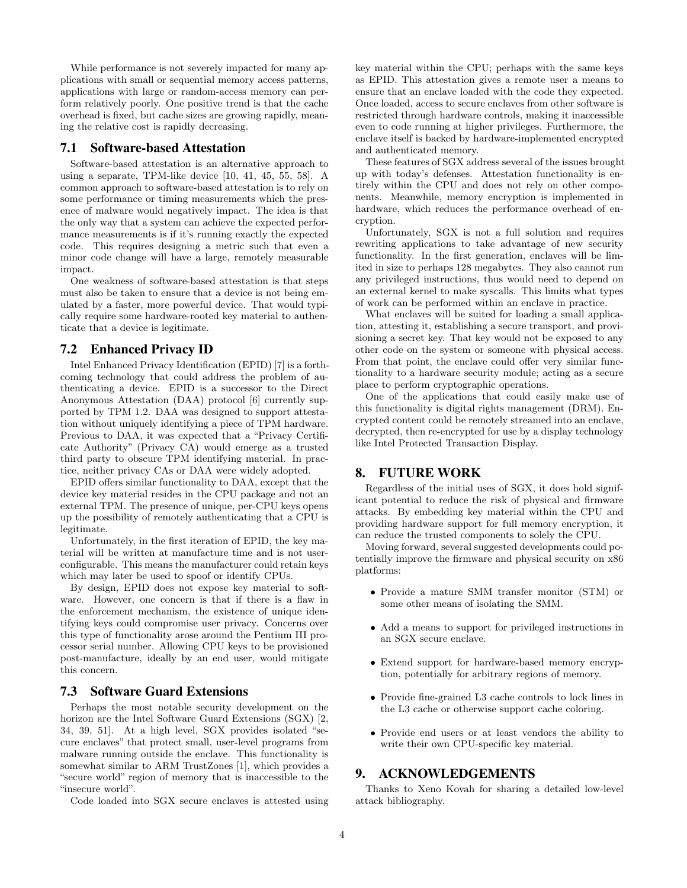While performance is not severely impacted for many applications with small or sequential memory access patterns, applications with large or random-access memory can perform relatively poorly. One positive trend is that the cache overhead is fixed, but cache sizes are growing rapidly, meaning the relative cost is rapidly decreasing.

## 7.1 Software-based Attestation

Software-based attestation is an alternative approach to using a separate, TPM-like device [10, 41, 45, 55, 58]. A common approach to software-based attestation is to rely on some performance or timing measurements which the presence of malware would negatively impact. The idea is that the only way that a system can achieve the expected performance measurements is if it's running exactly the expected code. This requires designing a metric such that even a minor code change will have a large, remotely measurable impact.

One weakness of software-based attestation is that steps must also be taken to ensure that a device is not being emulated by a faster, more powerful device. That would typically require some hardware-rooted key material to authenticate that a device is legitimate.

#### 7.2 Enhanced Privacy ID

Intel Enhanced Privacy Identification (EPID) [7] is a forthcoming technology that could address the problem of authenticating a device. EPID is a successor to the Direct Anonymous Attestation (DAA) protocol [6] currently supported by TPM 1.2. DAA was designed to support attestation without uniquely identifying a piece of TPM hardware. Previous to DAA, it was expected that a "Privacy Certificate Authority" (Privacy CA) would emerge as a trusted third party to obscure TPM identifying material. In practice, neither privacy CAs or DAA were widely adopted.

EPID offers similar functionality to DAA, except that the device key material resides in the CPU package and not an external TPM. The presence of unique, per-CPU keys opens up the possibility of remotely authenticating that a CPU is legitimate.

Unfortunately, in the first iteration of EPID, the key material will be written at manufacture time and is not userconfigurable. This means the manufacturer could retain keys which may later be used to spoof or identify CPUs.

By design, EPID does not expose key material to software. However, one concern is that if there is a flaw in the enforcement mechanism, the existence of unique identifying keys could compromise user privacy. Concerns over this type of functionality arose around the Pentium III processor serial number. Allowing CPU keys to be provisioned post-manufacture, ideally by an end user, would mitigate this concern.

#### 7.3 Software Guard Extensions

Perhaps the most notable security development on the horizon are the Intel Software Guard Extensions (SGX) [2, 34, 39, 51]. At a high level, SGX provides isolated "secure enclaves" that protect small, user-level programs from malware running outside the enclave. This functionality is somewhat similar to ARM TrustZones [1], which provides a "secure world" region of memory that is inaccessible to the "insecure world".

Code loaded into SGX secure enclaves is attested using

key material within the CPU; perhaps with the same keys as EPID. This attestation gives a remote user a means to ensure that an enclave loaded with the code they expected. Once loaded, access to secure enclaves from other software is restricted through hardware controls, making it inaccessible even to code running at higher privileges. Furthermore, the enclave itself is backed by hardware-implemented encrypted and authenticated memory.

These features of SGX address several of the issues brought up with today's defenses. Attestation functionality is entirely within the CPU and does not rely on other components. Meanwhile, memory encryption is implemented in hardware, which reduces the performance overhead of encryption.

Unfortunately, SGX is not a full solution and requires rewriting applications to take advantage of new security functionality. In the first generation, enclaves will be limited in size to perhaps 128 megabytes. They also cannot run any privileged instructions, thus would need to depend on an external kernel to make syscalls. This limits what types of work can be performed within an enclave in practice.

What enclaves will be suited for loading a small application, attesting it, establishing a secure transport, and provisioning a secret key. That key would not be exposed to any other code on the system or someone with physical access. From that point, the enclave could offer very similar functionality to a hardware security module; acting as a secure place to perform cryptographic operations.

One of the applications that could easily make use of this functionality is digital rights management (DRM). Encrypted content could be remotely streamed into an enclave, decrypted, then re-encrypted for use by a display technology like Intel Protected Transaction Display.

#### 8. FUTURE WORK

Regardless of the initial uses of SGX, it does hold significant potential to reduce the risk of physical and firmware attacks. By embedding key material within the CPU and providing hardware support for full memory encryption, it can reduce the trusted components to solely the CPU.

Moving forward, several suggested developments could potentially improve the firmware and physical security on x86 platforms:

- Provide a mature SMM transfer monitor (STM) or some other means of isolating the SMM.
- Add a means to support for privileged instructions in an SGX secure enclave.
- Extend support for hardware-based memory encryption, potentially for arbitrary regions of memory.
- Provide fine-grained L3 cache controls to lock lines in the L3 cache or otherwise support cache coloring.
- Provide end users or at least vendors the ability to write their own CPU-specific key material.

## 9. ACKNOWLEDGEMENTS

Thanks to Xeno Kovah for sharing a detailed low-level attack bibliography.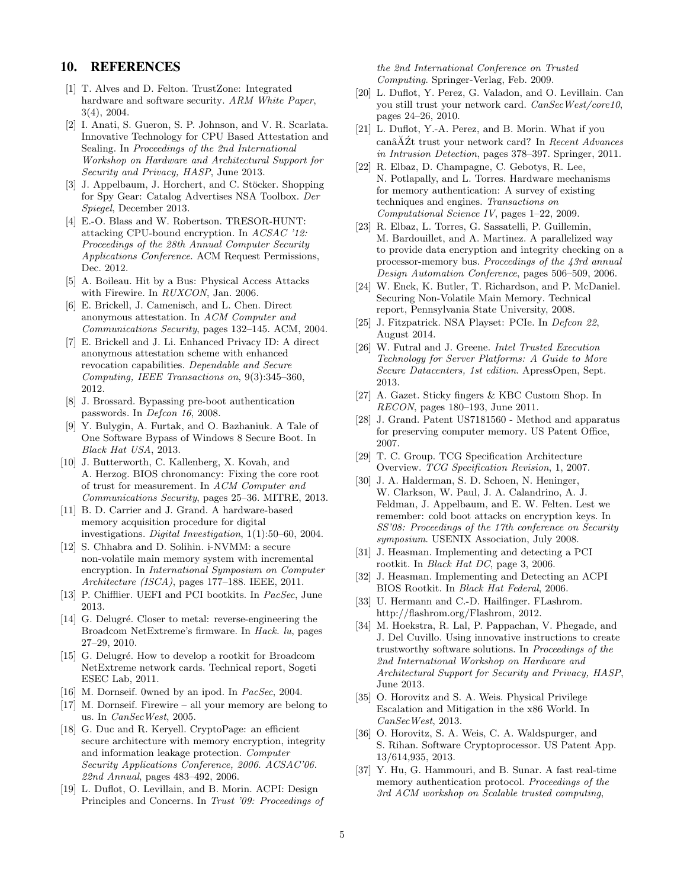#### 10. REFERENCES

- [1] T. Alves and D. Felton. TrustZone: Integrated hardware and software security. ARM White Paper, 3(4), 2004.
- [2] I. Anati, S. Gueron, S. P. Johnson, and V. R. Scarlata. Innovative Technology for CPU Based Attestation and Sealing. In Proceedings of the 2nd International Workshop on Hardware and Architectural Support for Security and Privacy, HASP, June 2013.
- [3] J. Appelbaum, J. Horchert, and C. Stöcker. Shopping for Spy Gear: Catalog Advertises NSA Toolbox. Der Spiegel, December 2013.
- [4] E.-O. Blass and W. Robertson. TRESOR-HUNT: attacking CPU-bound encryption. In ACSAC '12: Proceedings of the 28th Annual Computer Security Applications Conference. ACM Request Permissions, Dec. 2012.
- [5] A. Boileau. Hit by a Bus: Physical Access Attacks with Firewire. In RUXCON, Jan. 2006.
- [6] E. Brickell, J. Camenisch, and L. Chen. Direct anonymous attestation. In ACM Computer and Communications Security, pages 132–145. ACM, 2004.
- [7] E. Brickell and J. Li. Enhanced Privacy ID: A direct anonymous attestation scheme with enhanced revocation capabilities. Dependable and Secure Computing, IEEE Transactions on, 9(3):345–360, 2012.
- [8] J. Brossard. Bypassing pre-boot authentication passwords. In *Defcon 16*, 2008.
- [9] Y. Bulygin, A. Furtak, and O. Bazhaniuk. A Tale of One Software Bypass of Windows 8 Secure Boot. In Black Hat USA, 2013.
- [10] J. Butterworth, C. Kallenberg, X. Kovah, and A. Herzog. BIOS chronomancy: Fixing the core root of trust for measurement. In ACM Computer and Communications Security, pages 25–36. MITRE, 2013.
- [11] B. D. Carrier and J. Grand. A hardware-based memory acquisition procedure for digital investigations. Digital Investigation, 1(1):50–60, 2004.
- [12] S. Chhabra and D. Solihin. i-NVMM: a secure non-volatile main memory system with incremental encryption. In International Symposium on Computer Architecture (ISCA), pages 177–188. IEEE, 2011.
- [13] P. Chifflier. UEFI and PCI bootkits. In *PacSec*, June 2013.
- [14] G. Delugré. Closer to metal: reverse-engineering the Broadcom NetExtreme's firmware. In Hack. lu, pages 27–29, 2010.
- [15] G. Delugré. How to develop a rootkit for Broadcom NetExtreme network cards. Technical report, Sogeti ESEC Lab, 2011.
- [16] M. Dornseif. 0wned by an ipod. In *PacSec*, 2004.
- [17] M. Dornseif. Firewire all your memory are belong to us. In CanSecWest, 2005.
- [18] G. Duc and R. Keryell. CryptoPage: an efficient secure architecture with memory encryption, integrity and information leakage protection. Computer Security Applications Conference, 2006. ACSAC'06. 22nd Annual, pages 483–492, 2006.
- [19] L. Duflot, O. Levillain, and B. Morin. ACPI: Design Principles and Concerns. In Trust '09: Proceedings of

the 2nd International Conference on Trusted Computing. Springer-Verlag, Feb. 2009.

- [20] L. Duflot, Y. Perez, G. Valadon, and O. Levillain. Can you still trust your network card. CanSecWest/core10, pages 24–26, 2010.
- [21] L. Duflot, Y.-A. Perez, and B. Morin. What if you  $\tilde{\text{can}}\tilde{\text{A}}\tilde{\text{Z}}t$  trust your network card? In  $Recent\,\,Advances$ in Intrusion Detection, pages 378–397. Springer, 2011.
- [22] R. Elbaz, D. Champagne, C. Gebotys, R. Lee, N. Potlapally, and L. Torres. Hardware mechanisms for memory authentication: A survey of existing techniques and engines. Transactions on Computational Science IV, pages 1–22, 2009.
- [23] R. Elbaz, L. Torres, G. Sassatelli, P. Guillemin, M. Bardouillet, and A. Martinez. A parallelized way to provide data encryption and integrity checking on a processor-memory bus. Proceedings of the 43rd annual Design Automation Conference, pages 506–509, 2006.
- [24] W. Enck, K. Butler, T. Richardson, and P. McDaniel. Securing Non-Volatile Main Memory. Technical report, Pennsylvania State University, 2008.
- [25] J. Fitzpatrick. NSA Playset: PCIe. In *Defcon 22*, August 2014.
- [26] W. Futral and J. Greene. Intel Trusted Execution Technology for Server Platforms: A Guide to More Secure Datacenters, 1st edition. ApressOpen, Sept. 2013.
- [27] A. Gazet. Sticky fingers & KBC Custom Shop. In RECON, pages 180–193, June 2011.
- [28] J. Grand. Patent US7181560 Method and apparatus for preserving computer memory. US Patent Office, 2007.
- [29] T. C. Group. TCG Specification Architecture Overview. TCG Specification Revision, 1, 2007.
- [30] J. A. Halderman, S. D. Schoen, N. Heninger, W. Clarkson, W. Paul, J. A. Calandrino, A. J. Feldman, J. Appelbaum, and E. W. Felten. Lest we remember: cold boot attacks on encryption keys. In SS'08: Proceedings of the 17th conference on Security symposium. USENIX Association, July 2008.
- [31] J. Heasman. Implementing and detecting a PCI rootkit. In Black Hat DC, page 3, 2006.
- [32] J. Heasman. Implementing and Detecting an ACPI BIOS Rootkit. In Black Hat Federal, 2006.
- [33] U. Hermann and C.-D. Hailfinger. FLashrom. http://flashrom.org/Flashrom, 2012.
- [34] M. Hoekstra, R. Lal, P. Pappachan, V. Phegade, and J. Del Cuvillo. Using innovative instructions to create trustworthy software solutions. In Proceedings of the 2nd International Workshop on Hardware and Architectural Support for Security and Privacy, HASP, June 2013.
- [35] O. Horovitz and S. A. Weis. Physical Privilege Escalation and Mitigation in the x86 World. In CanSecWest, 2013.
- [36] O. Horovitz, S. A. Weis, C. A. Waldspurger, and S. Rihan. Software Cryptoprocessor. US Patent App. 13/614,935, 2013.
- [37] Y. Hu, G. Hammouri, and B. Sunar. A fast real-time memory authentication protocol. Proceedings of the 3rd ACM workshop on Scalable trusted computing,